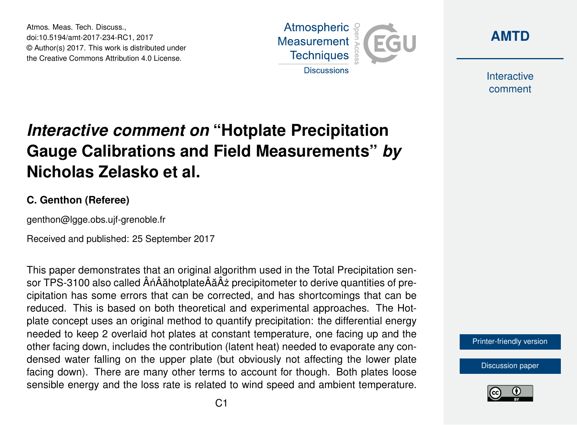Atmos. Meas. Tech. Discuss., doi:10.5194/amt-2017-234-RC1, 2017 © Author(s) 2017. This work is distributed under the Creative Commons Attribution 4.0 License.





Interactive comment

## *Interactive comment on* **"Hotplate Precipitation Gauge Calibrations and Field Measurements"** *by* **Nicholas Zelasko et al.**

## **C. Genthon (Referee)**

genthon@lgge.obs.ujf-grenoble.fr

Received and published: 25 September 2017

This paper demonstrates that an original algorithm used in the Total Precipitation sensor TPS-3100 also called  $\hat{A}$ n $\hat{A}$ ăhotplate $\hat{A}$ ă $\hat{A}$ ż precipitometer to derive quantities of precipitation has some errors that can be corrected, and has shortcomings that can be reduced. This is based on both theoretical and experimental approaches. The Hotplate concept uses an original method to quantify precipitation: the differential energy needed to keep 2 overlaid hot plates at constant temperature, one facing up and the other facing down, includes the contribution (latent heat) needed to evaporate any condensed water falling on the upper plate (but obviously not affecting the lower plate facing down). There are many other terms to account for though. Both plates loose sensible energy and the loss rate is related to wind speed and ambient temperature.

[Printer-friendly version](https://www.atmos-meas-tech-discuss.net/amt-2017-234/amt-2017-234-RC1-print.pdf)

[Discussion paper](https://www.atmos-meas-tech-discuss.net/amt-2017-234)

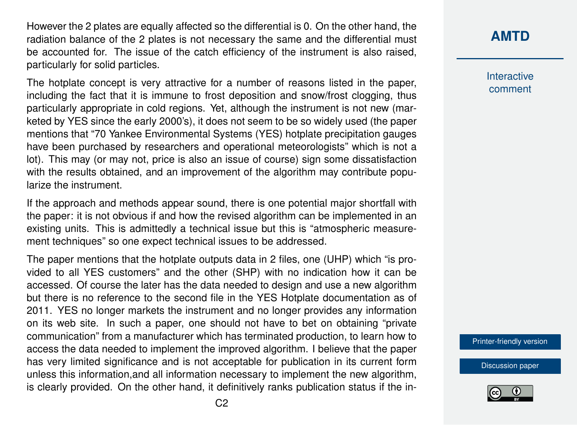However the 2 plates are equally affected so the differential is 0. On the other hand, the radiation balance of the 2 plates is not necessary the same and the differential must be accounted for. The issue of the catch efficiency of the instrument is also raised, particularly for solid particles.

The hotplate concept is very attractive for a number of reasons listed in the paper, including the fact that it is immune to frost deposition and snow/frost clogging, thus particularly appropriate in cold regions. Yet, although the instrument is not new (marketed by YES since the early 2000's), it does not seem to be so widely used (the paper mentions that "70 Yankee Environmental Systems (YES) hotplate precipitation gauges have been purchased by researchers and operational meteorologists" which is not a lot). This may (or may not, price is also an issue of course) sign some dissatisfaction with the results obtained, and an improvement of the algorithm may contribute popularize the instrument.

If the approach and methods appear sound, there is one potential major shortfall with the paper: it is not obvious if and how the revised algorithm can be implemented in an existing units. This is admittedly a technical issue but this is "atmospheric measurement techniques" so one expect technical issues to be addressed.

The paper mentions that the hotplate outputs data in 2 files, one (UHP) which "is provided to all YES customers" and the other (SHP) with no indication how it can be accessed. Of course the later has the data needed to design and use a new algorithm but there is no reference to the second file in the YES Hotplate documentation as of 2011. YES no longer markets the instrument and no longer provides any information on its web site. In such a paper, one should not have to bet on obtaining "private communication" from a manufacturer which has terminated production, to learn how to access the data needed to implement the improved algorithm. I believe that the paper has very limited significance and is not acceptable for publication in its current form unless this information,and all information necessary to implement the new algorithm, is clearly provided. On the other hand, it definitively ranks publication status if the in-

## **[AMTD](https://www.atmos-meas-tech-discuss.net/)**

Interactive comment

[Printer-friendly version](https://www.atmos-meas-tech-discuss.net/amt-2017-234/amt-2017-234-RC1-print.pdf)

[Discussion paper](https://www.atmos-meas-tech-discuss.net/amt-2017-234)

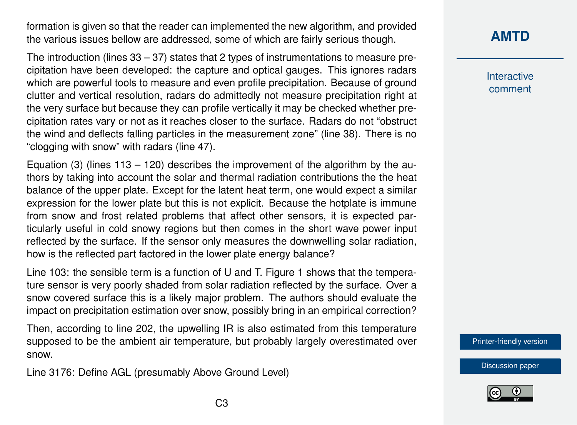formation is given so that the reader can implemented the new algorithm, and provided the various issues bellow are addressed, some of which are fairly serious though.

The introduction (lines 33 – 37) states that 2 types of instrumentations to measure precipitation have been developed: the capture and optical gauges. This ignores radars which are powerful tools to measure and even profile precipitation. Because of ground clutter and vertical resolution, radars do admittedly not measure precipitation right at the very surface but because they can profile vertically it may be checked whether precipitation rates vary or not as it reaches closer to the surface. Radars do not "obstruct the wind and deflects falling particles in the measurement zone" (line 38). There is no "clogging with snow" with radars (line 47).

Equation (3) (lines  $113 - 120$ ) describes the improvement of the algorithm by the authors by taking into account the solar and thermal radiation contributions the the heat balance of the upper plate. Except for the latent heat term, one would expect a similar expression for the lower plate but this is not explicit. Because the hotplate is immune from snow and frost related problems that affect other sensors, it is expected particularly useful in cold snowy regions but then comes in the short wave power input reflected by the surface. If the sensor only measures the downwelling solar radiation, how is the reflected part factored in the lower plate energy balance?

Line 103: the sensible term is a function of U and T. Figure 1 shows that the temperature sensor is very poorly shaded from solar radiation reflected by the surface. Over a snow covered surface this is a likely major problem. The authors should evaluate the impact on precipitation estimation over snow, possibly bring in an empirical correction?

Then, according to line 202, the upwelling IR is also estimated from this temperature supposed to be the ambient air temperature, but probably largely overestimated over snow.

Line 3176: Define AGL (presumably Above Ground Level)

**[AMTD](https://www.atmos-meas-tech-discuss.net/)**

Interactive comment

[Printer-friendly version](https://www.atmos-meas-tech-discuss.net/amt-2017-234/amt-2017-234-RC1-print.pdf)